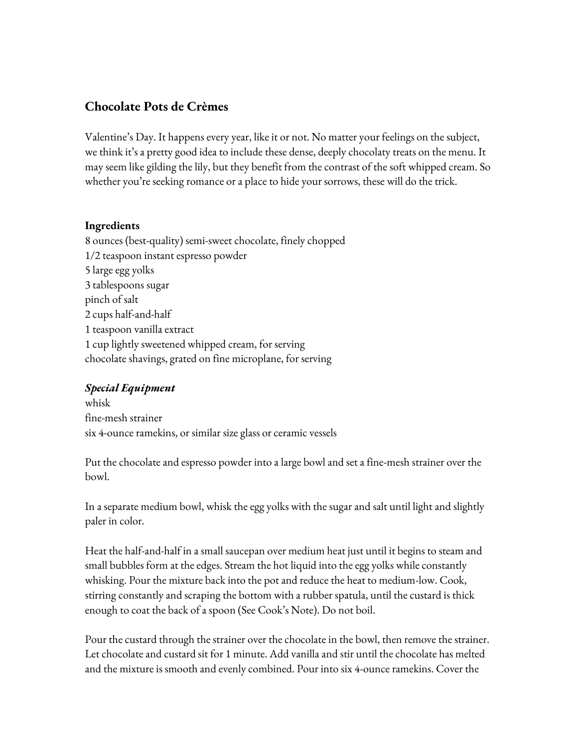## **Chocolate Pots de Crèmes**

Valentine's Day. It happens every year, like it or not. No matter your feelings on the subject, we think it's a pretty good idea to include these dense, deeply chocolaty treats on the menu. It may seem like gilding the lily, but they benefit from the contrast of the soft whipped cream. So whether you're seeking romance or a place to hide your sorrows, these will do the trick.

## **Ingredients**

8 ounces (best-quality) semi-sweet chocolate, finely chopped 1/2 teaspoon instant espresso powder 5 large egg yolks 3 tablespoons sugar pinch of salt 2 cups half-and-half 1 teaspoon vanilla extract 1 cup lightly sweetened whipped cream, for serving chocolate shavings, grated on fine microplane, for serving

## *Special Equipment*

whisk fine-mesh strainer six 4-ounce ramekins, or similar size glass or ceramic vessels

Put the chocolate and espresso powder into a large bowl and set a fine-mesh strainer over the bowl.

In a separate medium bowl, whisk the egg yolks with the sugar and salt until light and slightly paler in color.

Heat the half-and-half in a small saucepan over medium heat just until it begins to steam and small bubbles form at the edges. Stream the hot liquid into the egg yolks while constantly whisking. Pour the mixture back into the pot and reduce the heat to medium-low. Cook, stirring constantly and scraping the bottom with a rubber spatula, until the custard is thick enough to coat the back of a spoon (See Cook's Note). Do not boil.

Pour the custard through the strainer over the chocolate in the bowl, then remove the strainer. Let chocolate and custard sit for 1 minute. Add vanilla and stir until the chocolate has melted and the mixture is smooth and evenly combined. Pour into six 4-ounce ramekins. Cover the